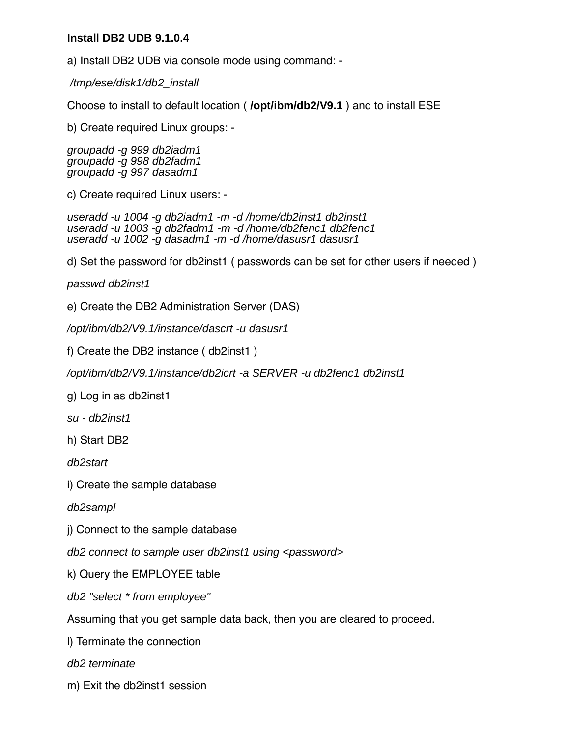# **Install DB2 UDB 9.1.0.4**

a) Install DB2 UDB via console mode using command: -

/tmp/ese/disk1/db2\_install

Choose to install to default location ( **/opt/ibm/db2/V9.1** ) and to install ESE

b) Create required Linux groups: -

groupadd -g 999 db2iadm1 groupadd -g 998 db2fadm1 groupadd -g 997 dasadm1

c) Create required Linux users: -

useradd -u 1004 -g db2iadm1 -m -d /home/db2inst1 db2inst1 useradd -u 1003 -g db2fadm1 -m -d /home/db2fenc1 db2fenc1 useradd -u 1002 -g dasadm1 -m -d /home/dasusr1 dasusr1

d) Set the password for db2inst1 ( passwords can be set for other users if needed )

passwd db2inst1

e) Create the DB2 Administration Server (DAS)

/opt/ibm/db2/V9.1/instance/dascrt -u dasusr1

f) Create the DB2 instance ( db2inst1 )

/opt/ibm/db2/V9.1/instance/db2icrt -a SERVER -u db2fenc1 db2inst1

g) Log in as db2inst1

su - db2inst1

h) Start DB2

db2start

i) Create the sample database

db2sampl

j) Connect to the sample database

db2 connect to sample user db2inst1 using <password>

k) Query the EMPLOYEE table

db2 "select \* from employee"

Assuming that you get sample data back, then you are cleared to proceed.

l) Terminate the connection

db2 terminate

m) Exit the db2inst1 session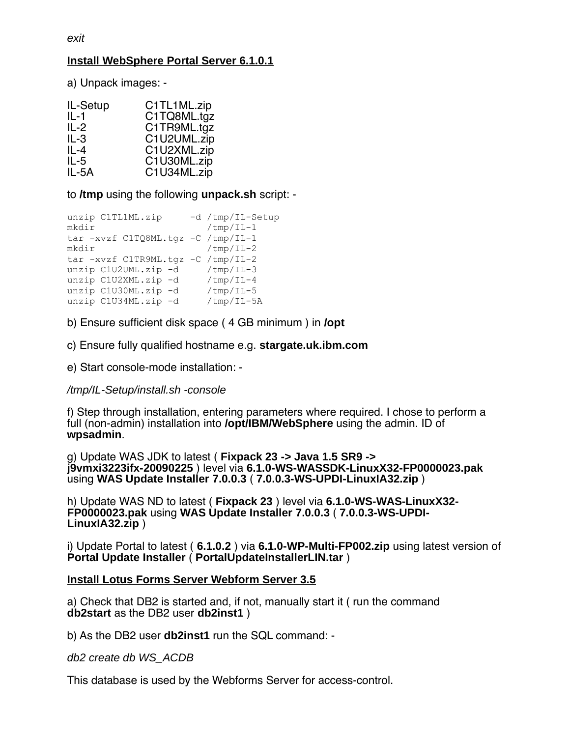# **Install WebSphere Portal Server 6.1.0.1**

a) Unpack images: -

| C1TL1ML.zip |
|-------------|
| C1TQ8ML.tgz |
| C1TR9ML.tgz |
| C1U2UML.zip |
| C1U2XML.zip |
| C1U30ML.zip |
| C1U34ML.zip |
|             |

to **/tmp** using the following **unpack.sh** script: -

```
unzip C1TL1ML.zip -d /tmp/IL-Setup
mkdir /tmp/IL-1
tar -xvzf C1TQ8ML.tgz -C /tmp/IL-1
mkdir /tmp/IL-2
tar -xvzf C1TR9ML.tgz -C /tmp/IL-2
unzip C1U2UML.zip -d /tmp/IL-3
unzip C1U2XML.zip -d /tmp/IL-4
unzip C1U30ML.zip -d /tmp/IL-5
unzip C1U34ML.zip -d /tmp/IL-5A
```
b) Ensure sufficient disk space (4 GB minimum) in **/opt** 

c) Ensure fully qualifed hostname e.g. **stargate.uk.ibm.com**

e) Start console-mode installation: -

# /tmp/IL-Setup/install.sh -console

f) Step through installation, entering parameters where required. I chose to perform a full (non-admin) installation into **/opt/IBM/WebSphere** using the admin. ID of **wpsadmin**.

g) Update WAS JDK to latest ( **Fixpack 23 -> Java 1.5 SR9 -> j9vmxi3223ifx-20090225** ) level via **6.1.0-WS-WASSDK-LinuxX32-FP0000023.pak** using **WAS Update Installer 7.0.0.3** ( **7.0.0.3-WS-UPDI-LinuxIA32.zip** )

h) Update WAS ND to latest ( **Fixpack 23** ) level via **6.1.0-WS-WAS-LinuxX32- FP0000023.pak** using **WAS Update Installer 7.0.0.3** ( **7.0.0.3-WS-UPDI-LinuxIA32.zip** )

i) Update Portal to latest ( **6.1.0.2** ) via **6.1.0-WP-Multi-FP002.zip** using latest version of **Portal Update Installer** ( **PortalUpdateInstallerLIN.tar** )

# **Install Lotus Forms Server Webform Server 3.5**

a) Check that DB2 is started and, if not, manually start it ( run the command **db2start** as the DB2 user **db2inst1** )

b) As the DB2 user **db2inst1** run the SQL command: -

db2 create db WS\_ACDB

This database is used by the Webforms Server for access-control.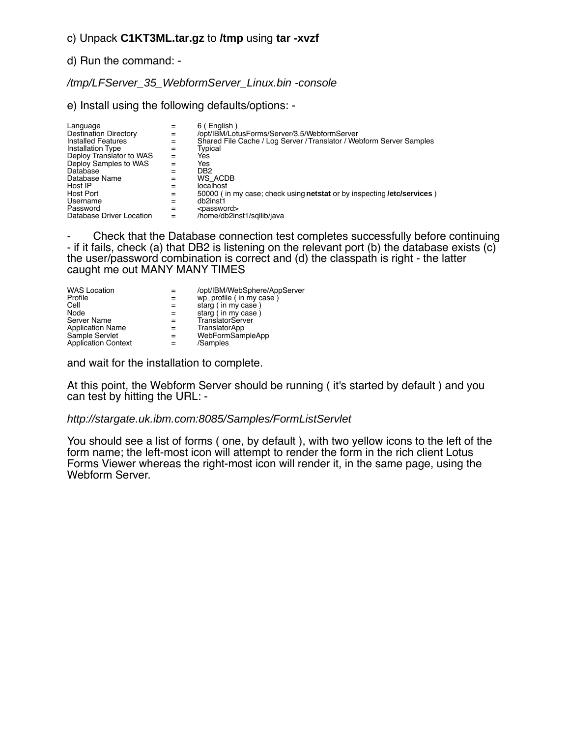# c) Unpack **C1KT3ML.tar.gz** to **/tmp** using **tar -xvzf**

## d) Run the command: -

## /tmp/LFServer\_35\_WebformServer\_Linux.bin -console

e) Install using the following defaults/options: -

| Language<br>Destination Directory<br><b>Installed Features</b><br>Installation Type<br>Deploy Translator to WAS<br>Deploy Samples to WAS<br>Database | $=$<br>$=$<br>$=$<br>$=$<br>$=$ | 6 (English)<br>/opt/IBM/LotusForms/Server/3.5/WebformServer<br>Shared File Cache / Log Server / Translator / Webform Server Samples<br>Typical<br>Yes<br>Yes<br>DB <sub>2</sub> |
|------------------------------------------------------------------------------------------------------------------------------------------------------|---------------------------------|---------------------------------------------------------------------------------------------------------------------------------------------------------------------------------|
| Database Name                                                                                                                                        | $=$                             | WS ACDB                                                                                                                                                                         |
| Host IP                                                                                                                                              |                                 | localhost                                                                                                                                                                       |
| Host Port                                                                                                                                            | $=$                             | 50000 (in my case; check using netstat or by inspecting /etc/services)                                                                                                          |
| Username                                                                                                                                             |                                 | db2inst1                                                                                                                                                                        |
| Password                                                                                                                                             | $=$                             | <password></password>                                                                                                                                                           |
| Database Driver Location                                                                                                                             |                                 | /home/db2inst1/sqllib/java                                                                                                                                                      |

- Check that the Database connection test completes successfully before continuing - if it fails, check (a) that DB2 is listening on the relevant port (b) the database exists (c) the user/password combination is correct and (d) the classpath is right - the latter caught me out MANY MANY TIMES

| <b>WAS Location</b>        | /opt/IBM/WebSphere/AppServer |
|----------------------------|------------------------------|
| Profile                    | wp_profile (in my case)      |
| Cell                       | starg (in my case)           |
| Node                       | starg (in my case)           |
| Server Name                | TranslatorServer             |
| <b>Application Name</b>    | TranslatorApp                |
| Sample Servlet             | WebFormSampleApp             |
| <b>Application Context</b> | /Samples                     |

and wait for the installation to complete.

At this point, the Webform Server should be running ( it's started by default ) and you can test by hitting the URL: -

#### http://stargate.uk.ibm.com:8085/Samples/FormListServlet

You should see a list of forms ( one, by default ), with two yellow icons to the left of the form name; the left-most icon will attempt to render the form in the rich client Lotus Forms Viewer whereas the right-most icon will render it, in the same page, using the Webform Server.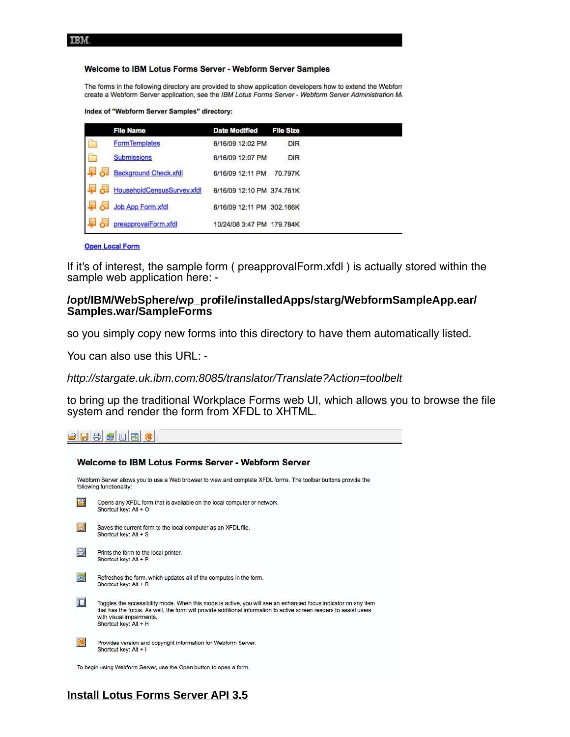#### Welcome to IBM Lotus Forms Server - Webform Server Samples

The forms in the following directory are provided to show application developers how to extend the Webforr create a Webform Server application, see the IBM Lotus Forms Server - Webform Server Administration Mi

Index of "Webform Server Samples" directory:

| <b>File Name</b>           | <b>Date Modified</b>      | <b>File Size</b> |
|----------------------------|---------------------------|------------------|
| <b>FormTemplates</b>       | 6/16/09 12:02 PM          | <b>DIR</b>       |
| <b>Submissions</b>         | 6/16/09 12:07 PM          | <b>DIR</b>       |
| Background Check.xfdl      | 6/16/09 12:11 PM          | 70.797K          |
| HouseholdCensusSurvey.xfdl | 6/16/09 12:10 PM 374.761K |                  |
| Job App Form.xfdl          | 6/16/09 12:11 PM 302.166K |                  |
| preapprovalForm.xfdl       | 10/24/08 3:47 PM 179.784K |                  |

**Open Local Form** 

If it's of interest, the sample form ( preapprovalForm.xfdl ) is actually stored within the sample web application here: -

#### **/opt/IBM/WebSphere/wp\_profile/installedApps/starg/WebformSampleApp.ear/ Samples.war/SampleForms**

so you simply copy new forms into this directory to have them automatically listed.

You can also use this URL: -

http://stargate.uk.ibm.com:8085/translator/Translate?Action=toolbelt

to bring up the traditional Workplace Forms web UI, which allows you to browse the fle system and render the form from XFDL to XHTML.

**BBBBB** 

|                | Welcome to IBM Lotus Forms Server - Webform Server                                                                                                                                                                                                                                        |
|----------------|-------------------------------------------------------------------------------------------------------------------------------------------------------------------------------------------------------------------------------------------------------------------------------------------|
|                | Webform Server allows you to use a Web browser to view and complete XFDL forms. The toolbar buttons provide the<br>following functionality:                                                                                                                                               |
| 团              | Opens any XFDL form that is available on the local computer or network.<br>Shortcut key: Alt + O                                                                                                                                                                                          |
| $\blacksquare$ | Saves the current form to the local computer as an XFDL file.<br>Shortcut key: Alt + S                                                                                                                                                                                                    |
| 8              | Prints the form to the local printer.<br>Shortcut key: Alt + P                                                                                                                                                                                                                            |
| 园              | Refreshes the form, which updates all of the computes in the form.<br>Shortcut kev: Alt + R                                                                                                                                                                                               |
| $\Box$         | Toggles the accessibility mode. When this mode is active, you will see an enhanced focus indicator on any item<br>that has the focus. As well, the form will provide additional information to active screen readers to assist users<br>with visual impairments.<br>Shortcut key: Alt + H |
| 园              | Provides version and copyright information for Webform Server.<br>Shortcut key: Alt + I                                                                                                                                                                                                   |
|                | To begin using Webform Server, use the Open button to open a form.                                                                                                                                                                                                                        |

# **Install Lotus Forms Server API 3.5**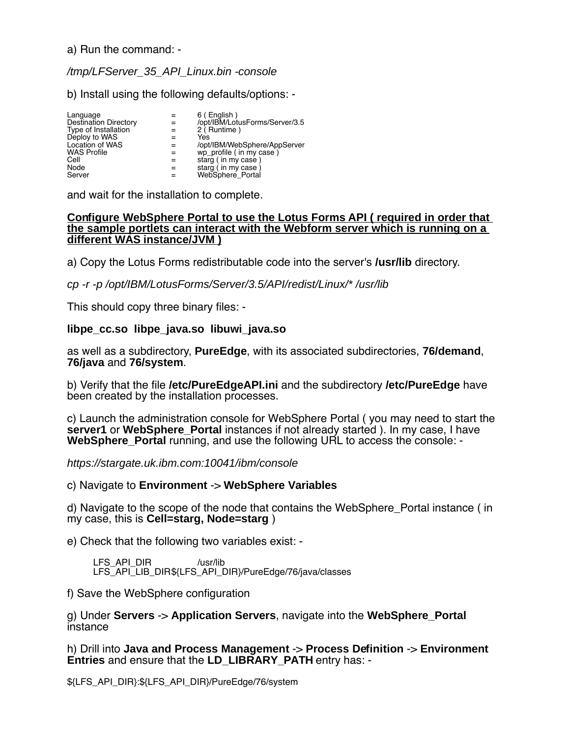a) Run the command: -

# /tmp/LFServer\_35\_API\_Linux.bin -console

b) Install using the following defaults/options: -

| Language<br><b>Destination Directory</b><br>Type of Installation<br>Deploy to WAS<br>Location of WAS<br><b>WAS Profile</b><br>Cell | 6 (English)<br>/opt/IBM/LotusForms/Server/3.5<br>2 (Runtime)<br>Yes<br>/opt/IBM/WebSphere/AppServer<br>wp_profile (in my case)<br>starg (in my case) |
|------------------------------------------------------------------------------------------------------------------------------------|------------------------------------------------------------------------------------------------------------------------------------------------------|
| Node                                                                                                                               | starg (in my case)                                                                                                                                   |
| Server                                                                                                                             | WebSphere Portal                                                                                                                                     |

and wait for the installation to complete.

### **Configure WebSphere Portal to use the Lotus Forms API ( required in order that the sample portlets can interact with the Webform server which is running on a different WAS instance/JVM )**

a) Copy the Lotus Forms redistributable code into the server's **/usr/lib** directory.

cp -r -p /opt/IBM/LotusForms/Server/3.5/API/redist/Linux/\* /usr/lib

This should copy three binary files: -

# **libpe\_cc.so libpe\_java.so libuwi\_java.so**

as well as a subdirectory, **PureEdge**, with its associated subdirectories, **76/demand**, **76/java** and **76/system**.

b) Verify that the fle **/etc/PureEdgeAPI.ini** and the subdirectory **/etc/PureEdge** have been created by the installation processes.

c) Launch the administration console for WebSphere Portal ( you may need to start the **server1** or **WebSphere\_Portal** instances if not already started ). In my case, I have **WebSphere Portal running, and use the following URL to access the console: -**

https://stargate.uk.ibm.com:10041/ibm/console

c) Navigate to **Environment** -> **WebSphere Variables**

d) Navigate to the scope of the node that contains the WebSphere\_Portal instance ( in my case, this is **Cell=starg, Node=starg** )

e) Check that the following two variables exist: -

LFS\_API\_DIR /usr/lib LFS<sup>-</sup>API<sup>-</sup>LIB\_DIR\${LFS\_API\_DIR}/PureEdge/76/java/classes

f) Save the WebSphere configuration

g) Under **Servers** -> **Application Servers**, navigate into the **WebSphere\_Portal** instance

h) Drill into **Java and Process Management** -> **Process Definition** -> **Environment Entries** and ensure that the **LD\_LIBRARY\_PATH** entry has: -

\${LFS\_API\_DIR}:\${LFS\_API\_DIR}/PureEdge/76/system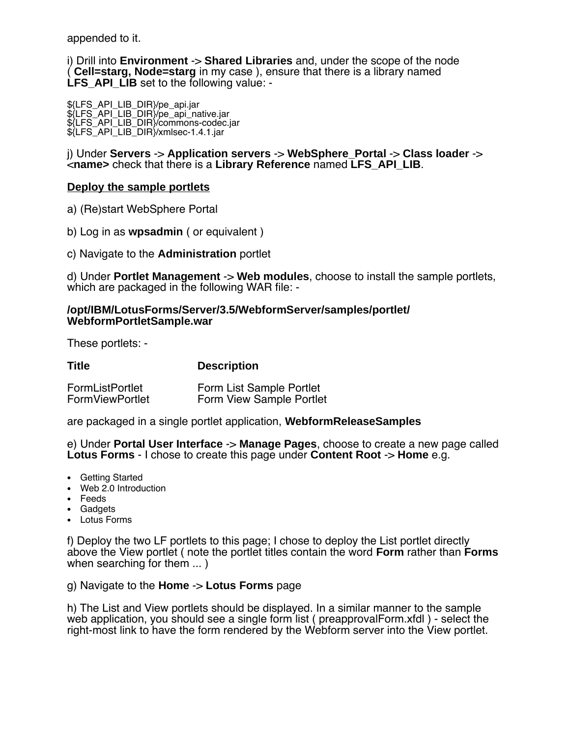appended to it.

i) Drill into **Environment** -> **Shared Libraries** and, under the scope of the node ( **Cell=starg, Node=starg** in my case ), ensure that there is a library named LFS API LIB set to the following value: -

\${LFS\_API\_LIB\_DIR}/pe\_api.jar \${LFS\_API\_LIB\_DIR}/pe\_api\_native.jar \${LFS\_API\_LIB\_DIR}/commons-codec.jar \${LFS\_API\_LIB\_DIR}/xmlsec-1.4.1.jar

j) Under **Servers** -> **Application servers** -> **WebSphere\_Portal** -> **Class loader** -> <**name>** check that there is a **Library Reference** named **LFS\_API\_LIB**.

# **Deploy the sample portlets**

a) (Re)start WebSphere Portal

b) Log in as **wpsadmin** ( or equivalent )

c) Navigate to the **Administration** portlet

d) Under **Portlet Management** -> **Web modules**, choose to install the sample portlets, which are packaged in the following WAR file: -

### **/opt/IBM/LotusForms/Server/3.5/WebformServer/samples/portlet/ WebformPortletSample.war**

These portlets: -

| Title                  | <b>Description</b>       |
|------------------------|--------------------------|
| <b>FormListPortlet</b> | Form List Sample Portlet |
| <b>FormViewPortlet</b> | Form View Sample Portlet |

are packaged in a single portlet application, **WebformReleaseSamples**

e) Under **Portal User Interface** -> **Manage Pages**, choose to create a new page called **Lotus Forms** - I chose to create this page under **Content Root** -> **Home** e.g.

- Getting Started
- Web 2.0 Introduction
- Feeds
- Gadgets
- Lotus Forms

f) Deploy the two LF portlets to this page; I chose to deploy the List portlet directly above the View portlet ( note the portlet titles contain the word **Form** rather than **Forms** when searching for them ... )

#### g) Navigate to the **Home** -> **Lotus Forms** page

h) The List and View portlets should be displayed. In a similar manner to the sample web application, you should see a single form list ( preapprovalForm.xfdl ) - select the right-most link to have the form rendered by the Webform server into the View portlet.